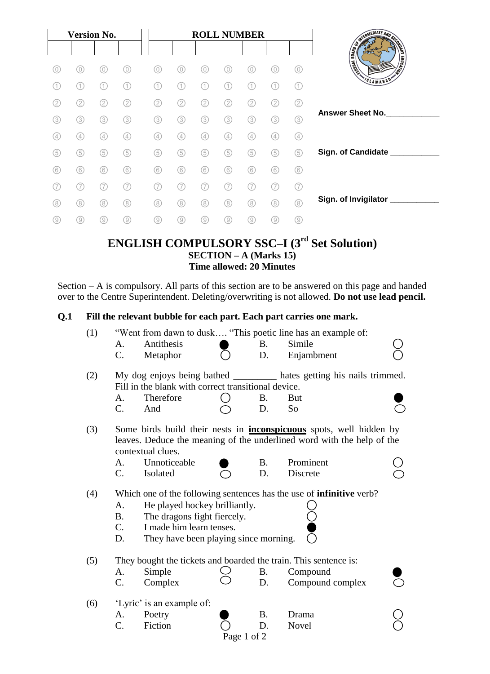| <b>Version No.</b> |     |     |     |     | <b>ROLL NUMBER</b> |     |     |     |     |          |                                                                                                                       |
|--------------------|-----|-----|-----|-----|--------------------|-----|-----|-----|-----|----------|-----------------------------------------------------------------------------------------------------------------------|
|                    |     |     |     |     |                    |     |     |     |     |          |                                                                                                                       |
| 0                  | 0)  | 0)  | 0   |     | 0                  | 0)  | 0   |     |     | 0)       | <b>SINGLET AND SCRIPTION OF STRATEGIC AND SCRIPTION OF STRATEGIC AND SCRIPTION OF STRATEGIC AND SCRIPTION OF STRA</b> |
| 1.                 | (1) | (1  | (1) |     | 11                 | (1) | 1.  |     |     | 11       | SLAMABAD'                                                                                                             |
| 2.                 | (2) | (2) | (2) | 2   | (2)                | (2) | (2  | (2) | 2   | $\rm(2)$ |                                                                                                                       |
| (3)                | (3) | (3) | (3) | (3) | (3)                | (3) | (3) | (3) | 3   | (3)      | <b>Answer Sheet No.</b>                                                                                               |
| (4                 | (4) | (4) | (4) | 4   | $\left( 4\right)$  | (4) | (4) | (4) | (4) | (4)      |                                                                                                                       |
| (5)                | (5) | (5) | (5) | (5) | (5)                | (5) | (5) | (5) | (5) | (5)      | Sign. of Candidate _                                                                                                  |
| (6)                | (6) | (6) | (6) | (6) | 6                  | 6   | (6) | (6) | (6) | 6        |                                                                                                                       |
|                    | (7) | (7  | (7  |     | (7                 | (7  | (7  |     |     | (7)      |                                                                                                                       |
| (8)                | (8) | (8) | (8) | (8) | (8)                | (8) | (8) | (8) | (8) | (8)      | Sign. of Invigilator ____                                                                                             |
| (9)                | (9) | (9) | (9) | (9  | 0)                 | (9) | (9) | (9) | 9)  | 9)       |                                                                                                                       |

# **ENGLISH COMPULSORY SSC–I (3rd Set Solution) SECTION – A (Marks 15) Time allowed: 20 Minutes**

Section – A is compulsory. All parts of this section are to be answered on this page and handed over to the Centre Superintendent. Deleting/overwriting is not allowed. **Do not use lead pencil.**

## **Q.1 Fill the relevant bubble for each part. Each part carries one mark.**

| (1) | "Went from dawn to dusk "This poetic line has an example of:                                                                                                                                                                                    |                                                                                       |             |           |                                                                                                                                                      |  |  |  |  |
|-----|-------------------------------------------------------------------------------------------------------------------------------------------------------------------------------------------------------------------------------------------------|---------------------------------------------------------------------------------------|-------------|-----------|------------------------------------------------------------------------------------------------------------------------------------------------------|--|--|--|--|
|     | A.                                                                                                                                                                                                                                              | Antithesis                                                                            |             | <b>B.</b> | Simile                                                                                                                                               |  |  |  |  |
|     | C.                                                                                                                                                                                                                                              | Metaphor                                                                              |             | D.        | Enjambment                                                                                                                                           |  |  |  |  |
| (2) | My dog enjoys being bathed ____________ hates getting his nails trimmed.<br>Fill in the blank with correct transitional device.                                                                                                                 |                                                                                       |             |           |                                                                                                                                                      |  |  |  |  |
|     | А.                                                                                                                                                                                                                                              | Therefore                                                                             |             | Β.        | <b>But</b>                                                                                                                                           |  |  |  |  |
|     | C.                                                                                                                                                                                                                                              | And                                                                                   |             | D.        | So                                                                                                                                                   |  |  |  |  |
| (3) |                                                                                                                                                                                                                                                 | contextual clues.                                                                     |             |           | Some birds build their nests in <b>inconspicuous</b> spots, well hidden by<br>leaves. Deduce the meaning of the underlined word with the help of the |  |  |  |  |
|     | A.                                                                                                                                                                                                                                              | Unnoticeable                                                                          |             | Β.        | Prominent                                                                                                                                            |  |  |  |  |
|     | $\mathbf{C}$ .                                                                                                                                                                                                                                  | Isolated                                                                              |             | D.        | Discrete                                                                                                                                             |  |  |  |  |
| (4) | Which one of the following sentences has the use of <b>infinitive</b> verb?<br>He played hockey brilliantly.<br>A.<br><b>B.</b><br>The dragons fight fiercely.<br>I made him learn tenses.<br>C.<br>They have been playing since morning.<br>D. |                                                                                       |             |           |                                                                                                                                                      |  |  |  |  |
| (5) | A.<br>C.                                                                                                                                                                                                                                        | They bought the tickets and boarded the train. This sentence is:<br>Simple<br>Complex |             | В.<br>D.  | Compound<br>Compound complex                                                                                                                         |  |  |  |  |
| (6) | A.<br>C.                                                                                                                                                                                                                                        | 'Lyric' is an example of:<br>Poetry<br>Fiction                                        | Page 1 of 2 | Β.<br>D.  | Drama<br>Novel                                                                                                                                       |  |  |  |  |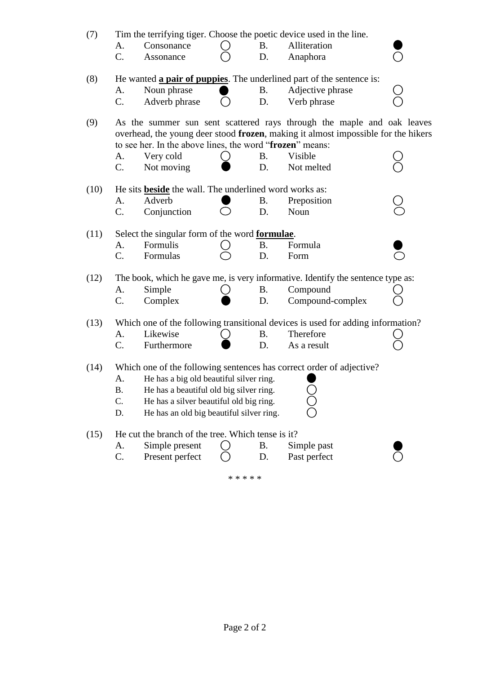| Tim the terrifying tiger. Choose the poetic device used in the line.<br>(7)<br><b>B.</b><br>Alliteration<br>A.<br>Consonance |                                                                                                                                                                                                                         |                                                                                    |  |           |                                                                                 |  |  |  |  |
|------------------------------------------------------------------------------------------------------------------------------|-------------------------------------------------------------------------------------------------------------------------------------------------------------------------------------------------------------------------|------------------------------------------------------------------------------------|--|-----------|---------------------------------------------------------------------------------|--|--|--|--|
|                                                                                                                              | C.                                                                                                                                                                                                                      | Assonance                                                                          |  | D.        | Anaphora                                                                        |  |  |  |  |
| (8)<br>He wanted <b>a pair of puppies</b> . The underlined part of the sentence is:                                          |                                                                                                                                                                                                                         |                                                                                    |  |           |                                                                                 |  |  |  |  |
|                                                                                                                              | A.                                                                                                                                                                                                                      | Noun phrase                                                                        |  | <b>B.</b> | Adjective phrase                                                                |  |  |  |  |
|                                                                                                                              | $\mathcal{C}$ .                                                                                                                                                                                                         | Adverb phrase                                                                      |  | D.        | Verb phrase                                                                     |  |  |  |  |
| (9)                                                                                                                          | As the summer sun sent scattered rays through the maple and oak leaves<br>overhead, the young deer stood frozen, making it almost impossible for the hikers<br>to see her. In the above lines, the word "frozen" means: |                                                                                    |  |           |                                                                                 |  |  |  |  |
|                                                                                                                              | A.                                                                                                                                                                                                                      | Very cold                                                                          |  | <b>B.</b> | Visible                                                                         |  |  |  |  |
|                                                                                                                              | $C$ .                                                                                                                                                                                                                   | Not moving                                                                         |  | D.        | Not melted                                                                      |  |  |  |  |
| (10)                                                                                                                         |                                                                                                                                                                                                                         | He sits <b>beside</b> the wall. The underlined word works as:                      |  |           |                                                                                 |  |  |  |  |
|                                                                                                                              | A.                                                                                                                                                                                                                      | Adverb                                                                             |  | Β.        | Preposition                                                                     |  |  |  |  |
|                                                                                                                              | C.                                                                                                                                                                                                                      | Conjunction                                                                        |  | D.        | Noun                                                                            |  |  |  |  |
| Select the singular form of the word formulae.<br>(11)                                                                       |                                                                                                                                                                                                                         |                                                                                    |  |           |                                                                                 |  |  |  |  |
|                                                                                                                              | A.                                                                                                                                                                                                                      | Formulis                                                                           |  | Β.        | Formula                                                                         |  |  |  |  |
|                                                                                                                              | $C_{\cdot}$                                                                                                                                                                                                             | Formulas                                                                           |  | D.        | Form                                                                            |  |  |  |  |
| (12)                                                                                                                         |                                                                                                                                                                                                                         |                                                                                    |  |           | The book, which he gave me, is very informative. Identify the sentence type as: |  |  |  |  |
|                                                                                                                              | A.                                                                                                                                                                                                                      | Simple                                                                             |  | <b>B.</b> | Compound                                                                        |  |  |  |  |
|                                                                                                                              | C.                                                                                                                                                                                                                      | Complex                                                                            |  | D.        | Compound-complex                                                                |  |  |  |  |
| (13)                                                                                                                         | Which one of the following transitional devices is used for adding information?                                                                                                                                         |                                                                                    |  |           |                                                                                 |  |  |  |  |
|                                                                                                                              | A.                                                                                                                                                                                                                      | Likewise                                                                           |  | <b>B.</b> | Therefore                                                                       |  |  |  |  |
|                                                                                                                              | C.                                                                                                                                                                                                                      | Furthermore                                                                        |  | D.        | As a result                                                                     |  |  |  |  |
| (14)                                                                                                                         | Which one of the following sentences has correct order of adjective?                                                                                                                                                    |                                                                                    |  |           |                                                                                 |  |  |  |  |
|                                                                                                                              | A.                                                                                                                                                                                                                      | He has a big old beautiful silver ring.                                            |  |           |                                                                                 |  |  |  |  |
|                                                                                                                              | <b>B.</b><br>C.                                                                                                                                                                                                         | He has a beautiful old big silver ring.<br>He has a silver beautiful old big ring. |  |           |                                                                                 |  |  |  |  |
|                                                                                                                              | D.                                                                                                                                                                                                                      | He has an old big beautiful silver ring.                                           |  |           |                                                                                 |  |  |  |  |
|                                                                                                                              |                                                                                                                                                                                                                         |                                                                                    |  |           |                                                                                 |  |  |  |  |
| (15)                                                                                                                         | He cut the branch of the tree. Which tense is it?                                                                                                                                                                       |                                                                                    |  |           |                                                                                 |  |  |  |  |
|                                                                                                                              | A.                                                                                                                                                                                                                      | Simple present                                                                     |  | <b>B.</b> | Simple past                                                                     |  |  |  |  |
|                                                                                                                              | C.                                                                                                                                                                                                                      | Present perfect                                                                    |  | D.        | Past perfect                                                                    |  |  |  |  |
| * * * * *                                                                                                                    |                                                                                                                                                                                                                         |                                                                                    |  |           |                                                                                 |  |  |  |  |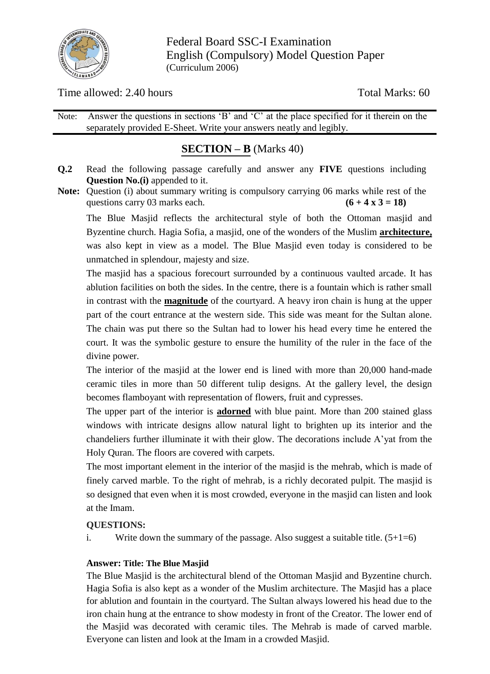

Federal Board SSC-I Examination English (Compulsory) Model Question Paper (Curriculum 2006)

Time allowed: 2.40 hours Total Marks: 60

Note: Answer the questions in sections 'B' and 'C' at the place specified for it therein on the separately provided E-Sheet. Write your answers neatly and legibly.

# **SECTION – B** (Marks 40)

- **Q.2** Read the following passage carefully and answer any **FIVE** questions including **Question No.(i)** appended to it.
- **Note:** Question (i) about summary writing is compulsory carrying 06 marks while rest of the questions carry 03 marks each.  $(6 + 4 \times 3 = 18)$

The Blue Masjid reflects the architectural style of both the Ottoman masjid and Byzentine church. Hagia Sofia, a masjid, one of the wonders of the Muslim **architecture,** was also kept in view as a model. The Blue Masjid even today is considered to be unmatched in splendour, majesty and size.

The masjid has a spacious forecourt surrounded by a continuous vaulted arcade. It has ablution facilities on both the sides. In the centre, there is a fountain which is rather small in contrast with the **magnitude** of the courtyard. A heavy iron chain is hung at the upper part of the court entrance at the western side. This side was meant for the Sultan alone. The chain was put there so the Sultan had to lower his head every time he entered the court. It was the symbolic gesture to ensure the humility of the ruler in the face of the divine power.

The interior of the masjid at the lower end is lined with more than 20,000 hand-made ceramic tiles in more than 50 different tulip designs. At the gallery level, the design becomes flamboyant with representation of flowers, fruit and cypresses.

The upper part of the interior is **adorned** with blue paint. More than 200 stained glass windows with intricate designs allow natural light to brighten up its interior and the chandeliers further illuminate it with their glow. The decorations include A"yat from the Holy Quran. The floors are covered with carpets.

The most important element in the interior of the masjid is the mehrab, which is made of finely carved marble. To the right of mehrab, is a richly decorated pulpit. The masjid is so designed that even when it is most crowded, everyone in the masjid can listen and look at the Imam.

## **QUESTIONS:**

i. Write down the summary of the passage. Also suggest a suitable title.  $(5+1=6)$ 

## **Answer: Title: The Blue Masjid**

The Blue Masjid is the architectural blend of the Ottoman Masjid and Byzentine church. Hagia Sofia is also kept as a wonder of the Muslim architecture. The Masjid has a place for ablution and fountain in the courtyard. The Sultan always lowered his head due to the iron chain hung at the entrance to show modesty in front of the Creator. The lower end of the Masjid was decorated with ceramic tiles. The Mehrab is made of carved marble. Everyone can listen and look at the Imam in a crowded Masjid.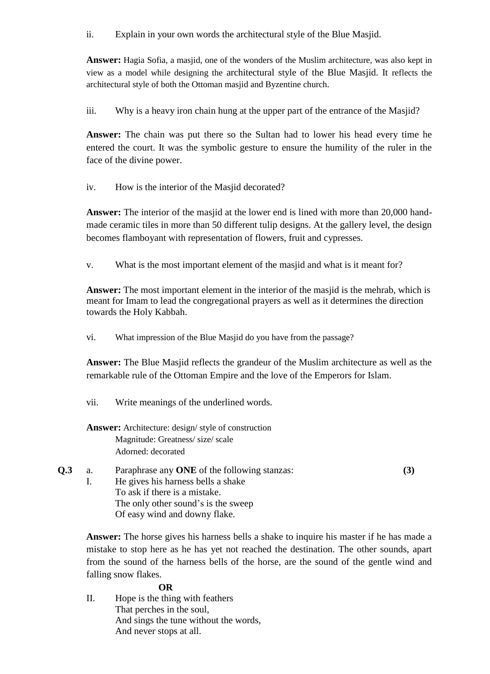ii. Explain in your own words the architectural style of the Blue Masjid.

**Answer:** Hagia Sofia, a masjid, one of the wonders of the Muslim architecture, was also kept in view as a model while designing the architectural style of the Blue Masjid. It reflects the architectural style of both the Ottoman masjid and Byzentine church.

iii. Why is a heavy iron chain hung at the upper part of the entrance of the Masjid?

**Answer:** The chain was put there so the Sultan had to lower his head every time he entered the court. It was the symbolic gesture to ensure the humility of the ruler in the face of the divine power.

iv. How is the interior of the Masjid decorated?

**Answer:** The interior of the masjid at the lower end is lined with more than 20,000 handmade ceramic tiles in more than 50 different tulip designs. At the gallery level, the design becomes flamboyant with representation of flowers, fruit and cypresses.

v. What is the most important element of the masjid and what is it meant for?

**Answer:** The most important element in the interior of the masjid is the mehrab, which is meant for Imam to lead the congregational prayers as well as it determines the direction towards the Holy Kabbah.

vi. What impression of the Blue Masjid do you have from the passage?

**Answer:** The Blue Masjid reflects the grandeur of the Muslim architecture as well as the remarkable rule of the Ottoman Empire and the love of the Emperors for Islam.

vii. Write meanings of the underlined words.

## **Answer:** Architecture: design/ style of construction Magnitude: Greatness/ size/ scale Adorned: decorated

**Q.3** a. Paraphrase any **ONE** of the following stanzas: **(3)** I. He gives his harness bells a shake To ask if there is a mistake. The only other sound's is the sweep Of easy wind and downy flake.

**Answer:** The horse gives his harness bells a shake to inquire his master if he has made a mistake to stop here as he has yet not reached the destination. The other sounds, apart from the sound of the harness bells of the horse, are the sound of the gentle wind and falling snow flakes.

### **OR**

II. Hope is the thing with feathers That perches in the soul, And sings the tune without the words, And never stops at all.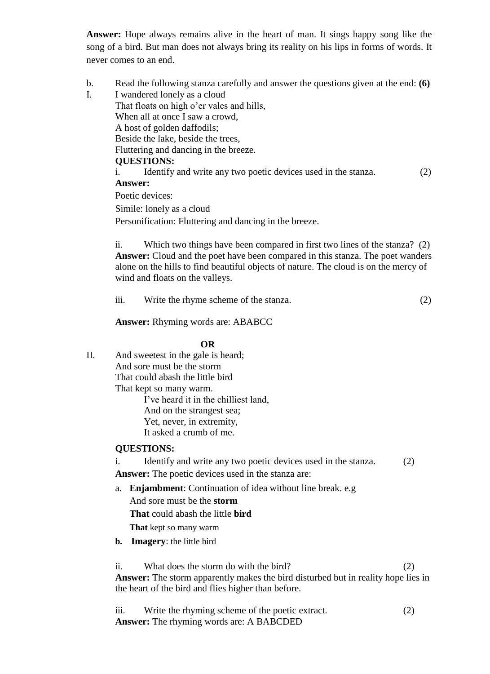**Answer:** Hope always remains alive in the heart of man. It sings happy song like the song of a bird. But man does not always bring its reality on his lips in forms of words. It never comes to an end.

b. Read the following stanza carefully and answer the questions given at the end: **(6)** I. I wandered lonely as a cloud That floats on high o'er vales and hills, When all at once I saw a crowd, A host of golden daffodils; Beside the lake, beside the trees, Fluttering and dancing in the breeze. **QUESTIONS:** i. Identify and write any two poetic devices used in the stanza. (2)

#### **Answer:**

Poetic devices:

Simile: lonely as a cloud

Personification: Fluttering and dancing in the breeze.

ii. Which two things have been compared in first two lines of the stanza? (2) **Answer:** Cloud and the poet have been compared in this stanza. The poet wanders alone on the hills to find beautiful objects of nature. The cloud is on the mercy of wind and floats on the valleys.

| $\cdots$<br>111. | Write the rhyme scheme of the stanza. |  |
|------------------|---------------------------------------|--|
|------------------|---------------------------------------|--|

**Answer:** Rhyming words are: ABABCC

#### **OR**

II. And sweetest in the gale is heard; And sore must be the storm That could abash the little bird That kept so many warm. I"ve heard it in the chilliest land, And on the strangest sea; Yet, never, in extremity, It asked a crumb of me.

#### **QUESTIONS:**

i. Identify and write any two poetic devices used in the stanza. (2)

**Answer:** The poetic devices used in the stanza are:

a. **Enjambment**: Continuation of idea without line break. e.g

And sore must be the **storm** 

**That** could abash the little **bird**

**That** kept so many warm

**b. Imagery**: the little bird

ii. What does the storm do with the bird?  $(2)$ **Answer:** The storm apparently makes the bird disturbed but in reality hope lies in the heart of the bird and flies higher than before.

iii. Write the rhyming scheme of the poetic extract. (2) **Answer:** The rhyming words are: A BABCDED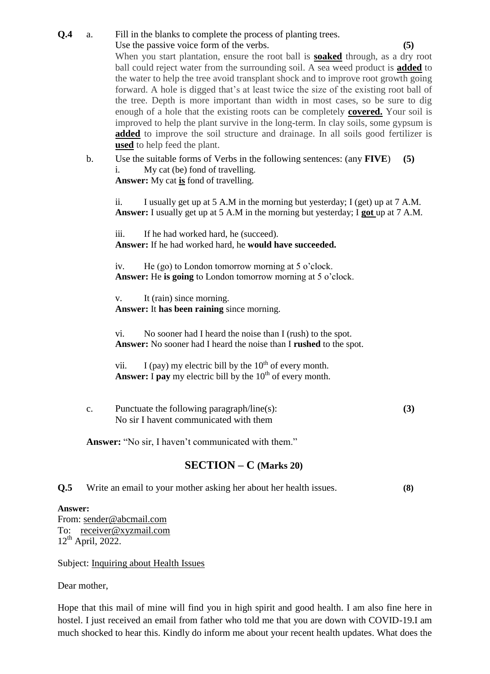**Q.4** a. Fill in the blanks to complete the process of planting trees. Use the passive voice form of the verbs. **(5)** When you start plantation, ensure the root ball is **soaked** through, as a dry root ball could reject water from the surrounding soil. A sea weed product is **added** to the water to help the tree avoid transplant shock and to improve root growth going forward. A hole is digged that"s at least twice the size of the existing root ball of the tree. Depth is more important than width in most cases, so be sure to dig enough of a hole that the existing roots can be completely **covered.** Your soil is improved to help the plant survive in the long-term. In clay soils, some gypsum is **added** to improve the soil structure and drainage. In all soils good fertilizer is **used** to help feed the plant.

b. Use the suitable forms of Verbs in the following sentences: (any **FIVE**) **(5)** i. My cat (be) fond of travelling.

**Answer:** My cat **is** fond of travelling.

ii. I usually get up at 5 A.M in the morning but yesterday; I (get) up at 7 A.M. **Answer:** I usually get up at 5 A.M in the morning but yesterday; I **got** up at 7 A.M.

iii. If he had worked hard, he (succeed). **Answer:** If he had worked hard, he **would have succeeded.**

iv. He (go) to London tomorrow morning at 5 o"clock. **Answer:** He **is going** to London tomorrow morning at 5 o"clock.

v. It (rain) since morning. **Answer:** It **has been raining** since morning.

vi. No sooner had I heard the noise than I (rush) to the spot. **Answer:** No sooner had I heard the noise than I **rushed** to the spot.

vii. I (pay) my electric bill by the  $10^{th}$  of every month. **Answer:** I **pay** my electric bill by the  $10<sup>th</sup>$  of every month.

c. Punctuate the following paragraph/line(s): **(3)** No sir I havent communicated with them

Answer: "No sir, I haven't communicated with them."

## **SECTION – C (Marks 20)**

**Q.5** Write an email to your mother asking her about her health issues. **(8)**

#### **Answer:**

From: [sender@abcmail.com](mailto:sender@abcmail.com) To: [receiver@xyzmail.com](mailto:receiver@xyzmail.com)  $12<sup>th</sup>$  April, 2022.

Subject: Inquiring about Health Issues

Dear mother,

Hope that this mail of mine will find you in high spirit and good health. I am also fine here in hostel. I just received an email from father who told me that you are down with COVID-19.I am much shocked to hear this. Kindly do inform me about your recent health updates. What does the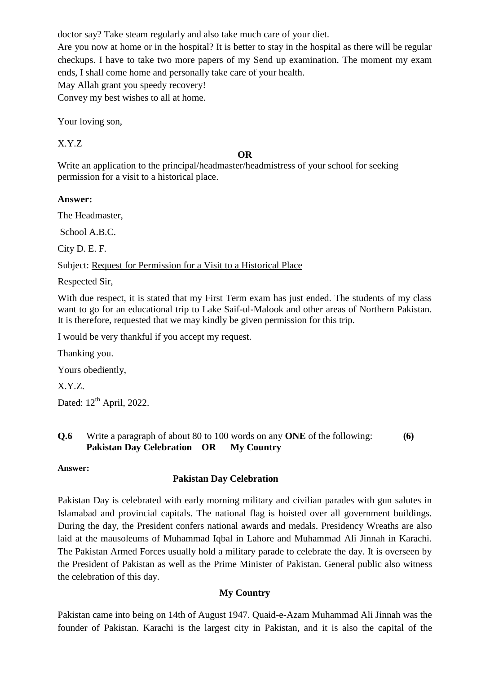doctor say? Take steam regularly and also take much care of your diet.

Are you now at home or in the hospital? It is better to stay in the hospital as there will be regular checkups. I have to take two more papers of my Send up examination. The moment my exam ends, I shall come home and personally take care of your health.

May Allah grant you speedy recovery! Convey my best wishes to all at home.

Your loving son,

X.Y.Z

### **OR**

Write an application to the principal/headmaster/headmistress of your school for seeking permission for a visit to a historical place.

**Answer:**

The Headmaster,

School A.B.C.

City D. E. F.

Subject: Request for Permission for a Visit to a Historical Place

Respected Sir,

With due respect, it is stated that my First Term exam has just ended. The students of my class want to go for an educational trip to Lake Saif-ul-Malook and other areas of Northern Pakistan. It is therefore, requested that we may kindly be given permission for this trip.

I would be very thankful if you accept my request.

Thanking you.

Yours obediently,

X.Y.Z.

Dated:  $12<sup>th</sup>$  April, 2022.

### **Q.6** Write a paragraph of about 80 to 100 words on any **ONE** of the following: **(6) Pakistan Day Celebration OR My Country**

### **Answer:**

## **Pakistan Day Celebration**

Pakistan Day is celebrated with early morning military and civilian parades with gun salutes in Islamabad and provincial capitals. The national flag is hoisted over all government buildings. During the day, the President confers national awards and medals. Presidency Wreaths are also laid at the mausoleums of Muhammad Iqbal in Lahore and Muhammad Ali Jinnah in Karachi. The Pakistan Armed Forces usually hold a military parade to celebrate the day. It is overseen by the President of Pakistan as well as the Prime Minister of Pakistan. General public also witness the celebration of this day.

## **My Country**

Pakistan came into being on 14th of August 1947. Quaid-e-Azam Muhammad Ali Jinnah was the founder of Pakistan. Karachi is the largest city in Pakistan, and it is also the capital of the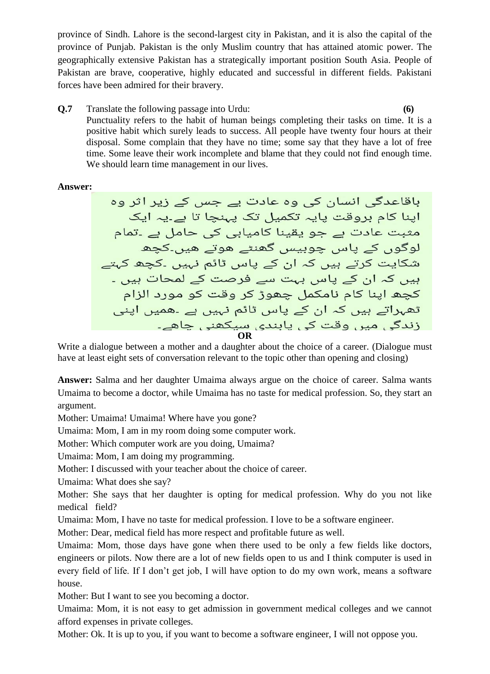province of Sindh. Lahore is the second-largest city in Pakistan, and it is also the capital of the province of Punjab. Pakistan is the only Muslim country that has attained atomic power. The geographically extensive Pakistan has a strategically important position South Asia. People of Pakistan are brave, cooperative, highly educated and successful in different fields. Pakistani forces have been admired for their bravery.

**Q.7** Translate the following passage into Urdu: **(6)**  Punctuality refers to the habit of human beings completing their tasks on time. It is a positive habit which surely leads to success. All people have twenty four hours at their disposal. Some complain that they have no time; some say that they have a lot of free time. Some leave their work incomplete and blame that they could not find enough time. We should learn time management in our lives.

### **Answer:**

**OR**

Write a dialogue between a mother and a daughter about the choice of a career. (Dialogue must have at least eight sets of conversation relevant to the topic other than opening and closing)

**Answer:** Salma and her daughter Umaima always argue on the choice of career. Salma wants Umaima to become a doctor, while Umaima has no taste for medical profession. So, they start an argument.

Mother: Umaima! Umaima! Where have you gone?

Umaima: Mom, I am in my room doing some computer work.

Mother: Which computer work are you doing, Umaima?

Umaima: Mom, I am doing my programming.

Mother: I discussed with your teacher about the choice of career.

Umaima: What does she say?

Mother: She says that her daughter is opting for medical profession. Why do you not like medical field?

Umaima: Mom, I have no taste for medical profession. I love to be a software engineer.

Mother: Dear, medical field has more respect and profitable future as well.

Umaima: Mom, those days have gone when there used to be only a few fields like doctors, engineers or pilots. Now there are a lot of new fields open to us and I think computer is used in every field of life. If I don't get job, I will have option to do my own work, means a software house.

Mother: But I want to see you becoming a doctor.

Umaima: Mom, it is not easy to get admission in government medical colleges and we cannot afford expenses in private colleges.

Mother: Ok. It is up to you, if you want to become a software engineer, I will not oppose you.